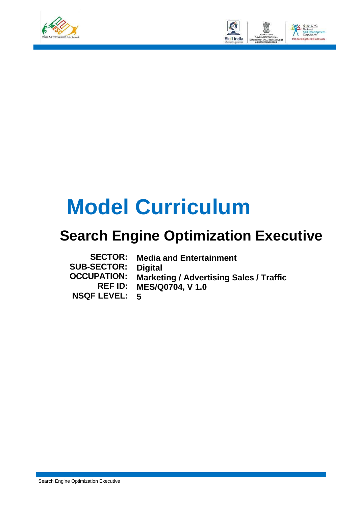



# **Model Curriculum**

### **Search Engine Optimization Executive**

| <b>SECTOR:</b>       | <b>Media and Entertainment</b>                 |
|----------------------|------------------------------------------------|
| <b>SUB-SECTOR:</b>   | <b>Digital</b>                                 |
| <b>OCCUPATION:</b>   | <b>Marketing / Advertising Sales / Traffic</b> |
|                      | <b>REF ID: MES/Q0704, V 1.0</b>                |
| <b>NSQF LEVEL: 5</b> |                                                |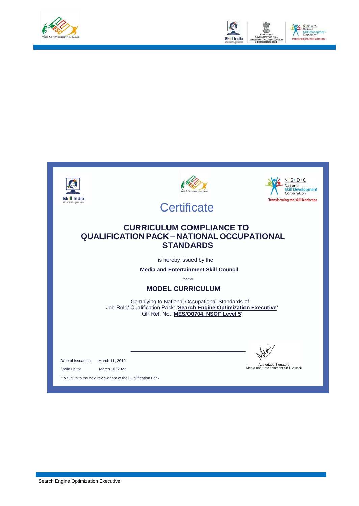



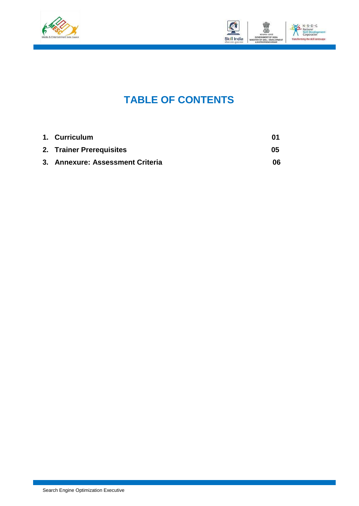



### **TABLE OF CONTENTS**

| 1. Curriculum                    |    |
|----------------------------------|----|
| 2. Trainer Prerequisites         | 05 |
| 3. Annexure: Assessment Criteria | 06 |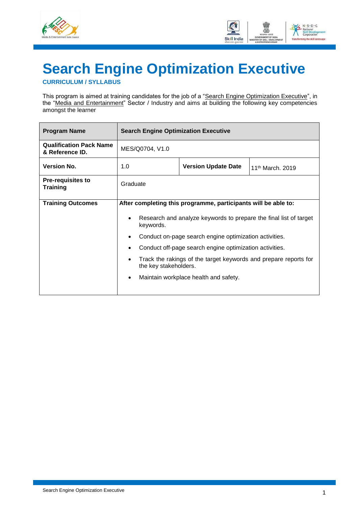



## <span id="page-3-0"></span>**Search Engine Optimization Executive**

**CURRICULUM / SYLLABUS**

This program is aimed at training candidates for the job of a "Search Engine Optimization Executive", in the "Media and Entertainment" Sector / Industry and aims at building the following key competencies amongst the learner

| <b>Program Name</b>                               | <b>Search Engine Optimization Executive</b>                                               |                                                         |                              |  |  |
|---------------------------------------------------|-------------------------------------------------------------------------------------------|---------------------------------------------------------|------------------------------|--|--|
| <b>Qualification Pack Name</b><br>& Reference ID. | MES/Q0704, V1.0                                                                           |                                                         |                              |  |  |
| <b>Version No.</b>                                | 1.0                                                                                       | <b>Version Update Date</b>                              | 11 <sup>th</sup> March, 2019 |  |  |
| <b>Pre-requisites to</b><br><b>Training</b>       | Graduate                                                                                  |                                                         |                              |  |  |
| <b>Training Outcomes</b>                          | After completing this programme, participants will be able to:                            |                                                         |                              |  |  |
|                                                   | Research and analyze keywords to prepare the final list of target<br>keywords.            |                                                         |                              |  |  |
|                                                   |                                                                                           | Conduct on-page search engine optimization activities.  |                              |  |  |
|                                                   | $\bullet$                                                                                 | Conduct off-page search engine optimization activities. |                              |  |  |
|                                                   | Track the rakings of the target keywords and prepare reports for<br>the key stakeholders. |                                                         |                              |  |  |
|                                                   |                                                                                           | Maintain workplace health and safety.                   |                              |  |  |
|                                                   |                                                                                           |                                                         |                              |  |  |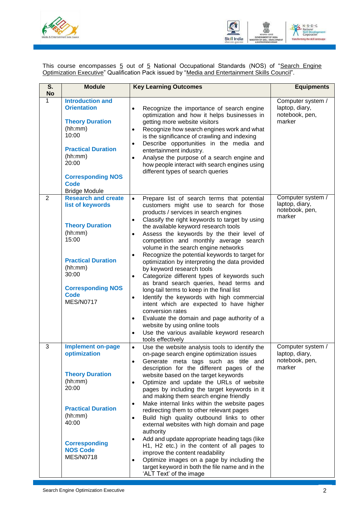



This course encompasses <u>5</u> out of <u>5</u> National Occupational Standards (NOS) of "<u>Search Engine</u> Optimization Executive" Qualification Pack issued by "Media and Entertainment Skills Council".

| S.<br><b>No</b> | <b>Module</b>                                                                                                                                                                                                   | <b>Key Learning Outcomes</b>                                                                                                                                                                                                                                                                                                                                                                                                                                                                                                                                                                                                                                                                                                                                                                                                                                                                                                                                                                              | <b>Equipments</b>                                               |
|-----------------|-----------------------------------------------------------------------------------------------------------------------------------------------------------------------------------------------------------------|-----------------------------------------------------------------------------------------------------------------------------------------------------------------------------------------------------------------------------------------------------------------------------------------------------------------------------------------------------------------------------------------------------------------------------------------------------------------------------------------------------------------------------------------------------------------------------------------------------------------------------------------------------------------------------------------------------------------------------------------------------------------------------------------------------------------------------------------------------------------------------------------------------------------------------------------------------------------------------------------------------------|-----------------------------------------------------------------|
| 1               | <b>Introduction and</b><br><b>Orientation</b><br><b>Theory Duration</b><br>(hh:mm)<br>10:00<br><b>Practical Duration</b><br>(hh:mm)<br>20:00<br><b>Corresponding NOS</b><br><b>Code</b><br><b>Bridge Module</b> | Recognize the importance of search engine<br>$\bullet$<br>optimization and how it helps businesses in<br>getting more website visitors<br>Recognize how search engines work and what<br>$\bullet$<br>is the significance of crawling and indexing<br>Describe opportunities in the media and<br>$\bullet$<br>entertainment industry.<br>Analyse the purpose of a search engine and<br>$\bullet$<br>how people interact with search engines using<br>different types of search queries                                                                                                                                                                                                                                                                                                                                                                                                                                                                                                                     | Computer system /<br>laptop, diary,<br>notebook, pen,<br>marker |
| $\overline{2}$  | <b>Research and create</b><br>list of keywords<br><b>Theory Duration</b><br>(hh:mm)<br>15:00<br><b>Practical Duration</b><br>(hh:mm)<br>30:00<br><b>Corresponding NOS</b><br><b>Code</b><br><b>MES/N0717</b>    | Prepare list of search terms that potential<br>$\bullet$<br>customers might use to search for those<br>products / services in search engines<br>Classify the right keywords to target by using<br>$\bullet$<br>the available keyword research tools<br>Assess the keywords by the their level of<br>$\bullet$<br>competition and monthly average search<br>volume in the search engine networks<br>Recognize the potential keywords to target for<br>$\bullet$<br>optimization by interpreting the data provided<br>by keyword research tools<br>Categorize different types of keywords such<br>$\bullet$<br>as brand search queries, head terms and<br>long-tail terms to keep in the final list<br>Identify the keywords with high commercial<br>$\bullet$<br>intent which are expected to have higher<br>conversion rates<br>Evaluate the domain and page authority of a<br>$\bullet$<br>website by using online tools<br>Use the various available keyword research<br>$\bullet$<br>tools effectively | Computer system /<br>laptop, diary,<br>notebook, pen,<br>marker |
| 3               | <b>Implement on-page</b><br>optimization<br><b>Theory Duration</b><br>(hh:mm)<br>20:00<br><b>Practical Duration</b><br>(hh:mm)<br>40:00<br><b>Corresponding</b><br><b>NOS Code</b><br><b>MES/N0718</b>          | Use the website analysis tools to identify the<br>$\bullet$<br>on-page search engine optimization issues<br>Generate meta tags such as title and<br>$\bullet$<br>description for the different pages of the<br>website based on the target keywords<br>Optimize and update the URLs of website<br>$\bullet$<br>pages by including the target keywords in it<br>and making them search engine friendly<br>Make internal links within the website pages<br>$\bullet$<br>redirecting them to other relevant pages<br>Build high quality outbound links to other<br>$\bullet$<br>external websites with high domain and page<br>authority<br>Add and update appropriate heading tags (like<br>$\bullet$<br>H1, H2 etc.) in the content of all pages to<br>improve the content readability<br>Optimize images on a page by including the<br>$\bullet$<br>target keyword in both the file name and in the<br>'ALT Text' of the image                                                                            | Computer system /<br>laptop, diary,<br>notebook, pen,<br>marker |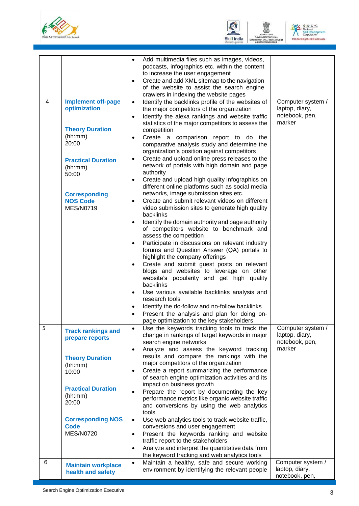





|   |                                                             | Add multimedia files such as images, videos,<br>$\bullet$<br>podcasts, infographics etc. within the content<br>to increase the user engagement<br>Create and add XML sitemap to the navigation<br>$\bullet$<br>of the website to assist the search engine<br>crawlers in indexing the website pages |                                                                 |
|---|-------------------------------------------------------------|-----------------------------------------------------------------------------------------------------------------------------------------------------------------------------------------------------------------------------------------------------------------------------------------------------|-----------------------------------------------------------------|
| 4 | <b>Implement off-page</b><br>optimization                   | Identify the backlinks profile of the websites of<br>$\bullet$<br>the major competitors of the organization<br>Identify the alexa rankings and website traffic<br>$\bullet$<br>statistics of the major competitors to assess the                                                                    | Computer system /<br>laptop, diary,<br>notebook, pen,<br>marker |
|   | <b>Theory Duration</b><br>(hh:mm)<br>20:00                  | competition<br>Create a comparison report to do the<br>comparative analysis study and determine the<br>organization's position against competitors                                                                                                                                                  |                                                                 |
|   | <b>Practical Duration</b><br>(hh:mm)<br>50:00               | Create and upload online press releases to the<br>٠<br>network of portals with high domain and page<br>authority<br>Create and upload high quality infographics on<br>$\bullet$                                                                                                                     |                                                                 |
|   | <b>Corresponding</b><br><b>NOS Code</b><br><b>MES/N0719</b> | different online platforms such as social media<br>networks, image submission sites etc.<br>Create and submit relevant videos on different<br>$\bullet$<br>video submission sites to generate high quality<br>backlinks                                                                             |                                                                 |
|   |                                                             | Identify the domain authority and page authority<br>$\bullet$<br>of competitors website to benchmark and<br>assess the competition                                                                                                                                                                  |                                                                 |
|   |                                                             | Participate in discussions on relevant industry<br>$\bullet$<br>forums and Question Answer (QA) portals to<br>highlight the company offerings                                                                                                                                                       |                                                                 |
|   |                                                             | Create and submit guest posts on relevant<br>$\bullet$<br>blogs and websites to leverage on other<br>website's popularity and get high quality<br>backlinks                                                                                                                                         |                                                                 |
|   |                                                             | Use various available backlinks analysis and<br>$\bullet$<br>research tools<br>Identify the do-follow and no-follow backlinks                                                                                                                                                                       |                                                                 |
|   |                                                             | Present the analysis and plan for doing on-<br>page optimization to the key stakeholders                                                                                                                                                                                                            |                                                                 |
| 5 | <b>Track rankings and</b><br>prepare reports                | Use the keywords tracking tools to track the<br>$\bullet$<br>change in rankings of target keywords in major<br>search engine networks<br>Analyze and assess the keyword tracking<br>$\bullet$                                                                                                       | Computer system /<br>laptop, diary,<br>notebook, pen,<br>marker |
|   | <b>Theory Duration</b><br>(hh:mm)<br>10:00                  | results and compare the rankings with the<br>major competitors of the organization<br>Create a report summarizing the performance<br>$\bullet$<br>of search engine optimization activities and its                                                                                                  |                                                                 |
|   | <b>Practical Duration</b><br>(hh:mm)<br>20:00               | impact on business growth<br>Prepare the report by documenting the key<br>$\bullet$<br>performance metrics like organic website traffic<br>and conversions by using the web analytics<br>tools                                                                                                      |                                                                 |
|   | <b>Corresponding NOS</b><br><b>Code</b><br><b>MES/N0720</b> | Use web analytics tools to track website traffic,<br>$\bullet$<br>conversions and user engagement<br>Present the keywords ranking and website<br>$\bullet$<br>traffic report to the stakeholders                                                                                                    |                                                                 |
|   |                                                             | Analyze and interpret the quantitative data from<br>$\bullet$<br>the keyword tracking and web analytics tools                                                                                                                                                                                       |                                                                 |
| 6 | <b>Maintain workplace</b><br>health and safety              | Maintain a healthy, safe and secure working<br>$\bullet$<br>environment by identifying the relevant people                                                                                                                                                                                          | Computer system /<br>laptop, diary,<br>notebook, pen,           |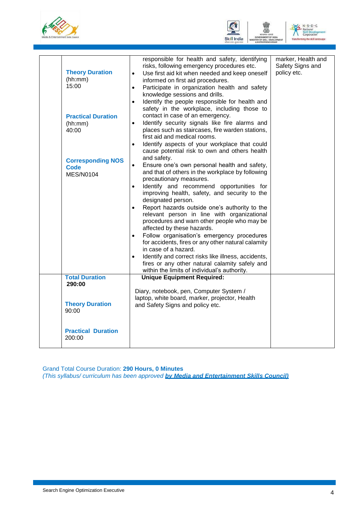





|                                         | responsible for health and safety, identifying<br>risks, following emergency procedures etc.    | marker, Health and<br>Safety Signs and |
|-----------------------------------------|-------------------------------------------------------------------------------------------------|----------------------------------------|
| <b>Theory Duration</b>                  | Use first aid kit when needed and keep oneself<br>$\bullet$                                     | policy etc.                            |
| (hh:mm)<br>15:00                        | informed on first aid procedures.<br>Participate in organization health and safety<br>$\bullet$ |                                        |
|                                         | knowledge sessions and drills.                                                                  |                                        |
|                                         | Identify the people responsible for health and<br>$\bullet$                                     |                                        |
| <b>Practical Duration</b>               | safety in the workplace, including those to<br>contact in case of an emergency.                 |                                        |
| (hh:mm)                                 | $\bullet$<br>Identify security signals like fire alarms and                                     |                                        |
| 40:00                                   | places such as staircases, fire warden stations,<br>first aid and medical rooms.                |                                        |
|                                         | Identify aspects of your workplace that could<br>$\bullet$                                      |                                        |
|                                         | cause potential risk to own and others health<br>and safety.                                    |                                        |
| <b>Corresponding NOS</b><br><b>Code</b> | Ensure one's own personal health and safety,<br>$\bullet$                                       |                                        |
| <b>MES/N0104</b>                        | and that of others in the workplace by following<br>precautionary measures.                     |                                        |
|                                         | Identify and recommend opportunities for<br>$\bullet$                                           |                                        |
|                                         | improving health, safety, and security to the<br>designated person.                             |                                        |
|                                         | Report hazards outside one's authority to the<br>$\bullet$                                      |                                        |
|                                         | relevant person in line with organizational                                                     |                                        |
|                                         | procedures and warn other people who may be<br>affected by these hazards.                       |                                        |
|                                         | Follow organisation's emergency procedures<br>$\bullet$                                         |                                        |
|                                         | for accidents, fires or any other natural calamity<br>in case of a hazard.                      |                                        |
|                                         | Identify and correct risks like illness, accidents,<br>$\bullet$                                |                                        |
|                                         | fires or any other natural calamity safely and                                                  |                                        |
| <b>Total Duration</b>                   | within the limits of individual's authority.<br><b>Unique Equipment Required:</b>               |                                        |
| 290:00                                  |                                                                                                 |                                        |
|                                         | Diary, notebook, pen, Computer System /<br>laptop, white board, marker, projector, Health       |                                        |
| <b>Theory Duration</b>                  | and Safety Signs and policy etc.                                                                |                                        |
| 90:00                                   |                                                                                                 |                                        |
| <b>Practical Duration</b>               |                                                                                                 |                                        |
| 200:00                                  |                                                                                                 |                                        |
|                                         |                                                                                                 |                                        |

Grand Total Course Duration: **290 Hours, 0 Minutes**

*(This syllabus/ curriculum has been approved by Media and Entertainment Skills Council)*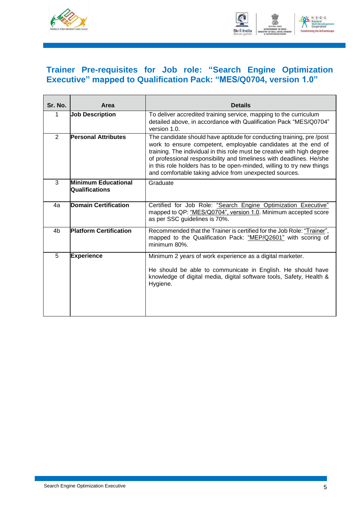



### <span id="page-7-0"></span>**Trainer Pre-requisites for Job role: "Search Engine Optimization Executive" mapped to Qualification Pack: "MES/Q0704, version 1.0"**

| Sr. No.        | Area                                                | <b>Details</b>                                                                                                                                                                                                                                                                                                                                                                                                              |
|----------------|-----------------------------------------------------|-----------------------------------------------------------------------------------------------------------------------------------------------------------------------------------------------------------------------------------------------------------------------------------------------------------------------------------------------------------------------------------------------------------------------------|
| 1              | <b>Job Description</b>                              | To deliver accredited training service, mapping to the curriculum<br>detailed above, in accordance with Qualification Pack "MES/Q0704"<br>version 1.0.                                                                                                                                                                                                                                                                      |
| $\overline{2}$ | <b>Personal Attributes</b>                          | The candidate should have aptitude for conducting training, pre/post<br>work to ensure competent, employable candidates at the end of<br>training. The individual in this role must be creative with high degree<br>of professional responsibility and timeliness with deadlines. He/she<br>in this role holders has to be open-minded, willing to try new things<br>and comfortable taking advice from unexpected sources. |
| 3              | <b>Minimum Educational</b><br><b>Qualifications</b> | Graduate                                                                                                                                                                                                                                                                                                                                                                                                                    |
| 4a             | <b>Domain Certification</b>                         | Certified for Job Role: "Search Engine Optimization Executive"<br>mapped to QP: "MES/Q0704", version 1.0. Minimum accepted score<br>as per SSC guidelines is 70%.                                                                                                                                                                                                                                                           |
| 4b             | <b>Platform Certification</b>                       | Recommended that the Trainer is certified for the Job Role: "Trainer",<br>mapped to the Qualification Pack: "MEP/Q2601" with scoring of<br>minimum 80%.                                                                                                                                                                                                                                                                     |
| 5              | <b>Experience</b>                                   | Minimum 2 years of work experience as a digital marketer.<br>He should be able to communicate in English. He should have<br>knowledge of digital media, digital software tools, Safety, Health &<br>Hygiene.                                                                                                                                                                                                                |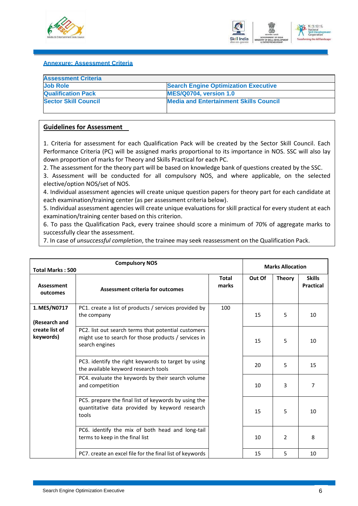



#### <span id="page-8-0"></span>**Annexure: Assessment Criteria**

| <b>Search Engine Optimization Executive</b>   |
|-----------------------------------------------|
| <b>MES/Q0704, version 1.0</b>                 |
| <b>Media and Entertainment Skills Council</b> |
|                                               |

#### **Guidelines for Assessment**

1. Criteria for assessment for each Qualification Pack will be created by the Sector Skill Council. Each Performance Criteria (PC) will be assigned marks proportional to its importance in NOS. SSC will also lay down proportion of marks for Theory and Skills Practical for each PC.

2. The assessment for the theory part will be based on knowledge bank of questions created by the SSC.

3. Assessment will be conducted for all compulsory NOS, and where applicable, on the selected elective/option NOS/set of NOS.

4. Individual assessment agencies will create unique question papers for theory part for each candidate at each examination/training center (as per assessment criteria below).

5. Individual assessment agencies will create unique evaluations for skill practical for every student at each examination/training center based on this criterion.

6. To pass the Qualification Pack, every trainee should score a minimum of 70% of aggregate marks to successfully clear the assessment.

7. In case of *unsuccessful completion*, the trainee may seek reassessment on the Qualification Pack.

| <b>Compulsory NOS</b><br><b>Total Marks: 500</b> |                                                                                                                               |                       | <b>Marks Allocation</b> |               |                                   |
|--------------------------------------------------|-------------------------------------------------------------------------------------------------------------------------------|-----------------------|-------------------------|---------------|-----------------------------------|
| <b>Assessment</b><br>outcomes                    | Assessment criteria for outcomes                                                                                              | <b>Total</b><br>marks | Out Of                  | <b>Theory</b> | <b>Skills</b><br><b>Practical</b> |
| 1. MES/N0717<br>(Research and                    | PC1. create a list of products / services provided by<br>the company                                                          | 100                   | 15                      | 5             | 10                                |
| create list of<br>keywords)                      | PC2. list out search terms that potential customers<br>might use to search for those products / services in<br>search engines |                       | 15                      | 5             | 10                                |
|                                                  | PC3. identify the right keywords to target by using<br>the available keyword research tools                                   |                       | 20                      | 5             | 15                                |
|                                                  | PC4. evaluate the keywords by their search volume<br>and competition                                                          |                       | 10                      | 3             | 7                                 |
|                                                  | PC5. prepare the final list of keywords by using the<br>quantitative data provided by keyword research<br>tools               |                       | 15                      | 5             | 10                                |
|                                                  | PC6. identify the mix of both head and long-tail<br>terms to keep in the final list                                           |                       | 10                      | 2             | 8                                 |
|                                                  | PC7. create an excel file for the final list of keywords                                                                      |                       | 15                      | 5.            | 10                                |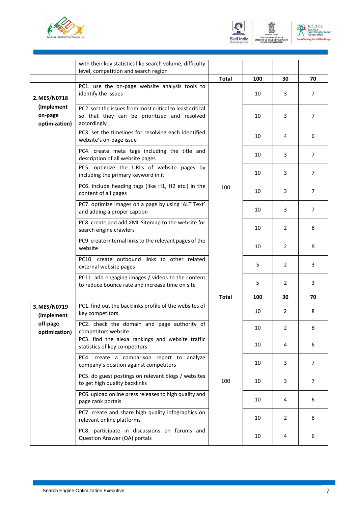





|                                        | with their key statistics like search volume, difficulty                                                                 |              |     |                       |                |
|----------------------------------------|--------------------------------------------------------------------------------------------------------------------------|--------------|-----|-----------------------|----------------|
|                                        | level, competition and search region                                                                                     |              |     |                       |                |
|                                        |                                                                                                                          | <b>Total</b> | 100 | 30                    | 70             |
| 2. MES/N0718                           | PC1. use the on-page website analysis tools to<br>identify the issues                                                    |              | 10  | 3                     | $\overline{7}$ |
| (Implement<br>on-page<br>optimization) | PC2. sort the issues from most critical to least critical<br>so that they can be prioritized and resolved<br>accordingly |              | 10  | 3                     | $\overline{7}$ |
|                                        | PC3. set the timelines for resolving each identified<br>website's on-page issue                                          |              | 10  | 4                     | 6              |
|                                        | PC4. create meta tags including the title and<br>description of all website pages                                        |              | 10  | 3                     | 7              |
|                                        | PC5. optimize the URLs of website pages by<br>including the primary keyword in it                                        |              | 10  | 3                     | $\overline{7}$ |
|                                        | PC6. include heading tags (like H1, H2 etc.) in the<br>content of all pages                                              | 100          | 10  | 3                     | $\overline{7}$ |
|                                        | PC7. optimize images on a page by using 'ALT Text'<br>and adding a proper caption                                        |              | 10  | 3                     | $\overline{7}$ |
|                                        | PC8. create and add XML Sitemap to the website for<br>search engine crawlers                                             |              | 10  | $\mathbf{2}^{\prime}$ | 8              |
|                                        | PC9. create internal links to the relevant pages of the<br>website                                                       |              | 10  | 2                     | 8              |
|                                        | PC10. create outbound links to other related<br>external website pages                                                   |              | 5   | 2                     | 3              |
|                                        | PC11. add engaging images / videos to the content<br>to reduce bounce rate and increase time on site                     |              | 5   | 2                     | 3              |
|                                        |                                                                                                                          | <b>Total</b> | 100 | 30                    | 70             |
| 3. MES/N0719<br>(Implement             | PC1. find out the backlinks profile of the websites of<br>key competitors                                                |              | 10  | 2                     | 8              |
| off-page<br>optimization)              | PC2. check the domain and page authority of<br>competitors website                                                       |              | 10  | 2                     | 8              |
|                                        | PC3. find the alexa rankings and website traffic<br>statistics of key competitors                                        |              | 10  | 4                     | 6              |
|                                        | PC4. create a comparison report to analyze<br>company's position against competitors                                     |              | 10  | 3                     | 7              |
|                                        | PC5. do guest postings on relevant blogs / websites<br>to get high quality backlinks                                     | 100          | 10  | 3                     | 7              |
|                                        | PC6. upload online press releases to high quality and<br>page rank portals                                               |              | 10  | 4                     | 6              |
|                                        | PC7. create and share high quality infographics on<br>relevant online platforms                                          |              | 10  | 2                     | 8              |
|                                        | PC8. participate in discussions on forums and<br>Question Answer (QA) portals                                            |              | 10  | 4                     | 6              |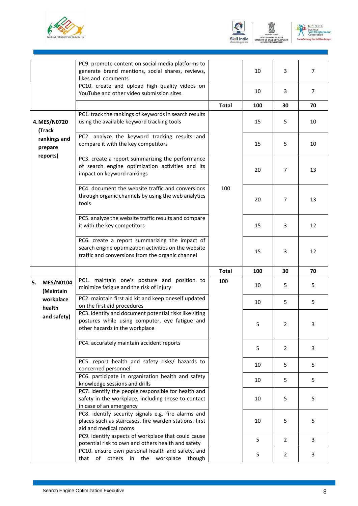





|                                     | PC9. promote content on social media platforms to<br>generate brand mentions, social shares, reviews,<br>likes and comments                                   |              | 10  | 3  | $\overline{7}$ |
|-------------------------------------|---------------------------------------------------------------------------------------------------------------------------------------------------------------|--------------|-----|----|----------------|
|                                     | PC10. create and upload high quality videos on<br>YouTube and other video submission sites                                                                    |              | 10  | 3  | 7              |
|                                     |                                                                                                                                                               | <b>Total</b> | 100 | 30 | 70             |
| 4. MES/N0720<br>(Track              | PC1. track the rankings of keywords in search results<br>using the available keyword tracking tools                                                           |              | 15  | 5  | 10             |
| rankings and<br>prepare             | PC2. analyze the keyword tracking results and<br>compare it with the key competitors                                                                          |              | 15  | 5  | 10             |
| reports)                            | PC3. create a report summarizing the performance<br>of search engine optimization activities and its<br>impact on keyword rankings                            |              | 20  | 7  | 13             |
|                                     | PC4. document the website traffic and conversions<br>through organic channels by using the web analytics<br>tools                                             | 100          | 20  | 7  | 13             |
|                                     | PC5. analyze the website traffic results and compare<br>it with the key competitors                                                                           |              | 15  | 3  | 12             |
|                                     | PC6. create a report summarizing the impact of<br>search engine optimization activities on the website<br>traffic and conversions from the organic channel    |              | 15  | 3  | 12             |
|                                     |                                                                                                                                                               | <b>Total</b> | 100 | 30 | 70             |
| 5.<br><b>MES/N0104</b><br>(Maintain | PC1. maintain one's posture and position to<br>minimize fatigue and the risk of injury                                                                        | 100          | 10  | 5. | 5              |
| workplace<br>health                 | PC2. maintain first aid kit and keep oneself updated<br>on the first aid procedures                                                                           |              | 10  | 5  | 5              |
| and safety)                         | PC3. identify and document potential risks like siting<br>postures while using computer, eye fatigue and<br>other hazards in the workplace                    |              | 5   | 2  | 3              |
|                                     | PC4. accurately maintain accident reports                                                                                                                     |              | 5   | 2  | 3              |
|                                     | PC5. report health and safety risks/ hazards to<br>concerned personnel                                                                                        |              | 10  | 5  | 5              |
|                                     | PC6. participate in organization health and safety<br>knowledge sessions and drills                                                                           |              | 10  | 5  | 5              |
|                                     | PC7. identify the people responsible for health and<br>safety in the workplace, including those to contact                                                    |              | 10  | 5  | 5              |
|                                     | in case of an emergency                                                                                                                                       |              |     |    |                |
|                                     | PC8. identify security signals e.g. fire alarms and<br>places such as staircases, fire warden stations, first<br>aid and medical rooms                        |              | 10  | 5  | 5              |
|                                     | PC9. identify aspects of workplace that could cause<br>potential risk to own and others health and safety<br>PC10. ensure own personal health and safety, and |              | 5   | 2  | 3              |